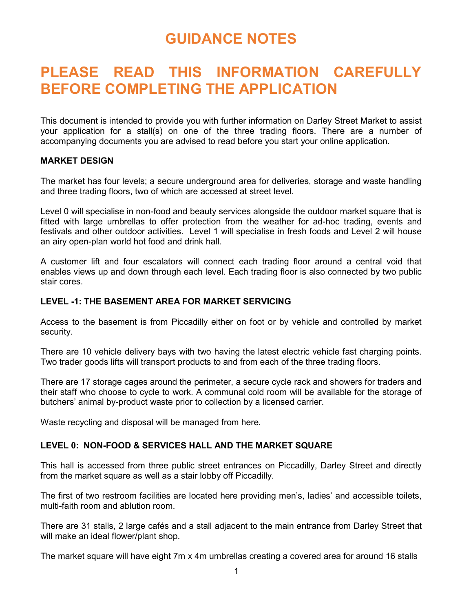# GUIDANCE NOTES

# PLEASE READ THIS INFORMATION CAREFULLY BEFORE COMPLETING THE APPLICATION

This document is intended to provide you with further information on Darley Street Market to assist your application for a stall(s) on one of the three trading floors. There are a number of accompanying documents you are advised to read before you start your online application.

## MARKET DESIGN

The market has four levels; a secure underground area for deliveries, storage and waste handling and three trading floors, two of which are accessed at street level.

Level 0 will specialise in non-food and beauty services alongside the outdoor market square that is fitted with large umbrellas to offer protection from the weather for ad-hoc trading, events and festivals and other outdoor activities. Level 1 will specialise in fresh foods and Level 2 will house an airy open-plan world hot food and drink hall.

A customer lift and four escalators will connect each trading floor around a central void that enables views up and down through each level. Each trading floor is also connected by two public stair cores.

## LEVEL -1: THE BASEMENT AREA FOR MARKET SERVICING

Access to the basement is from Piccadilly either on foot or by vehicle and controlled by market security.

There are 10 vehicle delivery bays with two having the latest electric vehicle fast charging points. Two trader goods lifts will transport products to and from each of the three trading floors.

There are 17 storage cages around the perimeter, a secure cycle rack and showers for traders and their staff who choose to cycle to work. A communal cold room will be available for the storage of butchers' animal by-product waste prior to collection by a licensed carrier.

Waste recycling and disposal will be managed from here.

## LEVEL 0: NON-FOOD & SERVICES HALL AND THE MARKET SQUARE

This hall is accessed from three public street entrances on Piccadilly, Darley Street and directly from the market square as well as a stair lobby off Piccadilly.

The first of two restroom facilities are located here providing men's, ladies' and accessible toilets, multi-faith room and ablution room.

There are 31 stalls, 2 large cafés and a stall adjacent to the main entrance from Darley Street that will make an ideal flower/plant shop.

The market square will have eight 7m x 4m umbrellas creating a covered area for around 16 stalls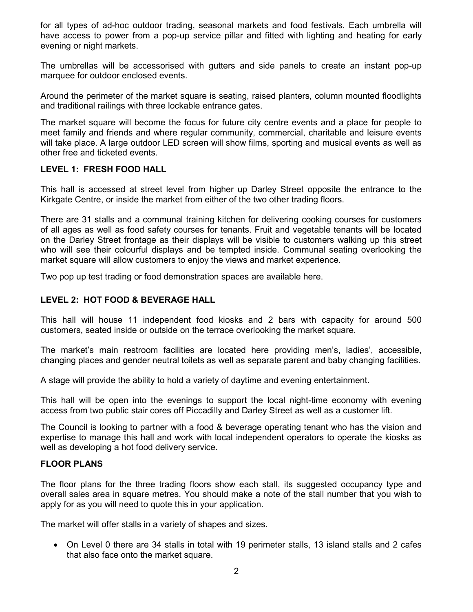for all types of ad-hoc outdoor trading, seasonal markets and food festivals. Each umbrella will have access to power from a pop-up service pillar and fitted with lighting and heating for early evening or night markets.

The umbrellas will be accessorised with gutters and side panels to create an instant pop-up marquee for outdoor enclosed events.

Around the perimeter of the market square is seating, raised planters, column mounted floodlights and traditional railings with three lockable entrance gates.

The market square will become the focus for future city centre events and a place for people to meet family and friends and where regular community, commercial, charitable and leisure events will take place. A large outdoor LED screen will show films, sporting and musical events as well as other free and ticketed events.

## LEVEL 1: FRESH FOOD HALL

This hall is accessed at street level from higher up Darley Street opposite the entrance to the Kirkgate Centre, or inside the market from either of the two other trading floors.

There are 31 stalls and a communal training kitchen for delivering cooking courses for customers of all ages as well as food safety courses for tenants. Fruit and vegetable tenants will be located on the Darley Street frontage as their displays will be visible to customers walking up this street who will see their colourful displays and be tempted inside. Communal seating overlooking the market square will allow customers to enjoy the views and market experience.

Two pop up test trading or food demonstration spaces are available here.

## LEVEL 2: HOT FOOD & BEVERAGE HALL

This hall will house 11 independent food kiosks and 2 bars with capacity for around 500 customers, seated inside or outside on the terrace overlooking the market square.

The market's main restroom facilities are located here providing men's, ladies', accessible, changing places and gender neutral toilets as well as separate parent and baby changing facilities.

A stage will provide the ability to hold a variety of daytime and evening entertainment.

This hall will be open into the evenings to support the local night-time economy with evening access from two public stair cores off Piccadilly and Darley Street as well as a customer lift.

The Council is looking to partner with a food & beverage operating tenant who has the vision and expertise to manage this hall and work with local independent operators to operate the kiosks as well as developing a hot food delivery service.

## FLOOR PLANS

The floor plans for the three trading floors show each stall, its suggested occupancy type and overall sales area in square metres. You should make a note of the stall number that you wish to apply for as you will need to quote this in your application.

The market will offer stalls in a variety of shapes and sizes.

 On Level 0 there are 34 stalls in total with 19 perimeter stalls, 13 island stalls and 2 cafes that also face onto the market square.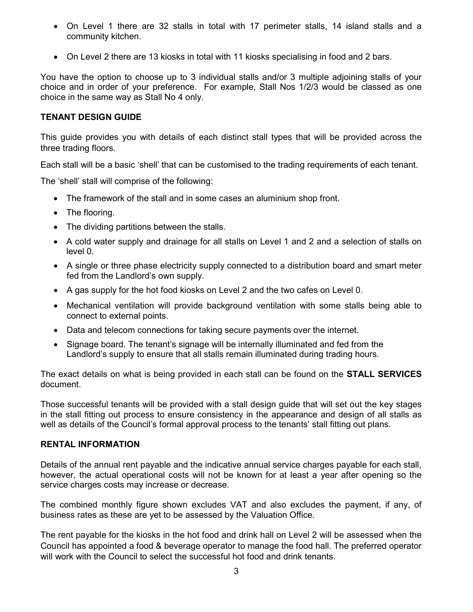- On Level 1 there are 32 stalls in total with 17 perimeter stalls, 14 island stalls and a community kitchen.
- On Level 2 there are 13 kiosks in total with 11 kiosks specialising in food and 2 bars.

You have the option to choose up to 3 individual stalls and/or 3 multiple adjoining stalls of your choice and in order of your preference. For example, Stall Nos 1/2/3 would be classed as one choice in the same way as Stall No 4 only.

# TENANT DESIGN GUIDE

This guide provides you with details of each distinct stall types that will be provided across the three trading floors.

Each stall will be a basic 'shell' that can be customised to the trading requirements of each tenant.

The 'shell' stall will comprise of the following:

- The framework of the stall and in some cases an aluminium shop front.
- The flooring.
- The dividing partitions between the stalls.
- A cold water supply and drainage for all stalls on Level 1 and 2 and a selection of stalls on level 0.
- A single or three phase electricity supply connected to a distribution board and smart meter fed from the Landlord's own supply.
- A gas supply for the hot food kiosks on Level 2 and the two cafes on Level 0.
- Mechanical ventilation will provide background ventilation with some stalls being able to connect to external points.
- Data and telecom connections for taking secure payments over the internet.
- Signage board. The tenant's signage will be internally illuminated and fed from the Landlord's supply to ensure that all stalls remain illuminated during trading hours.

The exact details on what is being provided in each stall can be found on the **STALL SERVICES** document.

Those successful tenants will be provided with a stall design guide that will set out the key stages in the stall fitting out process to ensure consistency in the appearance and design of all stalls as well as details of the Council's formal approval process to the tenants' stall fitting out plans.

## RENTAL INFORMATION

Details of the annual rent payable and the indicative annual service charges payable for each stall, however, the actual operational costs will not be known for at least a year after opening so the service charges costs may increase or decrease.

The combined monthly figure shown excludes VAT and also excludes the payment, if any, of business rates as these are yet to be assessed by the Valuation Office.

The rent payable for the kiosks in the hot food and drink hall on Level 2 will be assessed when the Council has appointed a food & beverage operator to manage the food hall. The preferred operator will work with the Council to select the successful hot food and drink tenants.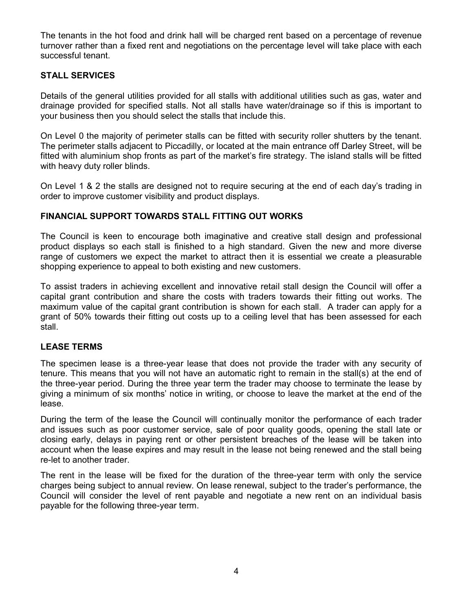The tenants in the hot food and drink hall will be charged rent based on a percentage of revenue turnover rather than a fixed rent and negotiations on the percentage level will take place with each successful tenant.

## STALL SERVICES

Details of the general utilities provided for all stalls with additional utilities such as gas, water and drainage provided for specified stalls. Not all stalls have water/drainage so if this is important to your business then you should select the stalls that include this.

On Level 0 the majority of perimeter stalls can be fitted with security roller shutters by the tenant. The perimeter stalls adjacent to Piccadilly, or located at the main entrance off Darley Street, will be fitted with aluminium shop fronts as part of the market's fire strategy. The island stalls will be fitted with heavy duty roller blinds.

On Level 1 & 2 the stalls are designed not to require securing at the end of each day's trading in order to improve customer visibility and product displays.

## FINANCIAL SUPPORT TOWARDS STALL FITTING OUT WORKS

The Council is keen to encourage both imaginative and creative stall design and professional product displays so each stall is finished to a high standard. Given the new and more diverse range of customers we expect the market to attract then it is essential we create a pleasurable shopping experience to appeal to both existing and new customers.

To assist traders in achieving excellent and innovative retail stall design the Council will offer a capital grant contribution and share the costs with traders towards their fitting out works. The maximum value of the capital grant contribution is shown for each stall. A trader can apply for a grant of 50% towards their fitting out costs up to a ceiling level that has been assessed for each stall.

## LEASE TERMS

The specimen lease is a three-year lease that does not provide the trader with any security of tenure. This means that you will not have an automatic right to remain in the stall(s) at the end of the three-year period. During the three year term the trader may choose to terminate the lease by giving a minimum of six months' notice in writing, or choose to leave the market at the end of the lease.

During the term of the lease the Council will continually monitor the performance of each trader and issues such as poor customer service, sale of poor quality goods, opening the stall late or closing early, delays in paying rent or other persistent breaches of the lease will be taken into account when the lease expires and may result in the lease not being renewed and the stall being re-let to another trader.

The rent in the lease will be fixed for the duration of the three-year term with only the service charges being subject to annual review. On lease renewal, subject to the trader's performance, the Council will consider the level of rent payable and negotiate a new rent on an individual basis payable for the following three-year term.